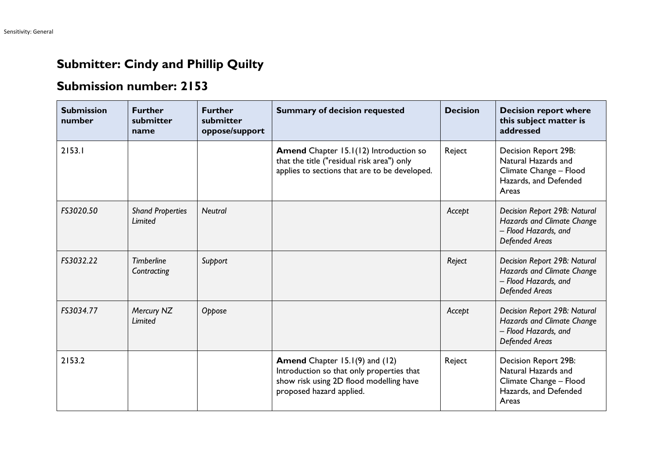## **Submitter: Cindy and Phillip Quilty**

## **Submission number: 2153**

| <b>Submission</b><br>number | <b>Further</b><br>submitter<br>name | <b>Further</b><br>submitter<br>oppose/support | <b>Summary of decision requested</b>                                                                                                                      | <b>Decision</b> | <b>Decision report where</b><br>this subject matter is<br>addressed                                         |
|-----------------------------|-------------------------------------|-----------------------------------------------|-----------------------------------------------------------------------------------------------------------------------------------------------------------|-----------------|-------------------------------------------------------------------------------------------------------------|
| 2153.1                      |                                     |                                               | <b>Amend</b> Chapter 15.1(12) Introduction so<br>that the title ("residual risk area") only<br>applies to sections that are to be developed.              | Reject          | Decision Report 29B:<br>Natural Hazards and<br>Climate Change - Flood<br>Hazards, and Defended<br>Areas     |
| FS3020.50                   | <b>Shand Properties</b><br>Limited  | <b>Neutral</b>                                |                                                                                                                                                           | Accept          | Decision Report 29B: Natural<br>Hazards and Climate Change<br>- Flood Hazards, and<br><b>Defended Areas</b> |
| FS3032.22                   | <b>Timberline</b><br>Contracting    | Support                                       |                                                                                                                                                           | Reject          | Decision Report 29B: Natural<br>Hazards and Climate Change<br>- Flood Hazards, and<br>Defended Areas        |
| FS3034.77                   | Mercury NZ<br>Limited               | Oppose                                        |                                                                                                                                                           | Accept          | Decision Report 29B: Natural<br>Hazards and Climate Change<br>- Flood Hazards, and<br><b>Defended Areas</b> |
| 2153.2                      |                                     |                                               | <b>Amend</b> Chapter 15.1(9) and (12)<br>Introduction so that only properties that<br>show risk using 2D flood modelling have<br>proposed hazard applied. | Reject          | Decision Report 29B:<br>Natural Hazards and<br>Climate Change - Flood<br>Hazards, and Defended<br>Areas     |